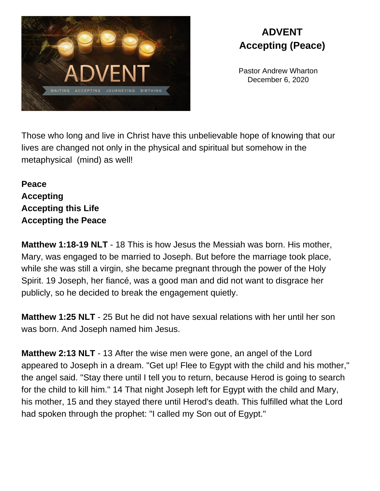

## **ADVENT Accepting (Peace)**

Pastor Andrew Wharton December 6, 2020

Those who long and live in Christ have this unbelievable hope of knowing that our lives are changed not only in the physical and spiritual but somehow in the metaphysical (mind) as well!

## **Peace Accepting Accepting this Life Accepting the Peace**

**Matthew 1:18-19 NLT** - 18 This is how Jesus the Messiah was born. His mother, Mary, was engaged to be married to Joseph. But before the marriage took place, while she was still a virgin, she became pregnant through the power of the Holy Spirit. 19 Joseph, her fiancé, was a good man and did not want to disgrace her publicly, so he decided to break the engagement quietly.

**Matthew 1:25 NLT** - 25 But he did not have sexual relations with her until her son was born. And Joseph named him Jesus.

**Matthew 2:13 NLT** - 13 After the wise men were gone, an angel of the Lord appeared to Joseph in a dream. "Get up! Flee to Egypt with the child and his mother," the angel said. "Stay there until I tell you to return, because Herod is going to search for the child to kill him." 14 That night Joseph left for Egypt with the child and Mary, his mother, 15 and they stayed there until Herod's death. This fulfilled what the Lord had spoken through the prophet: "I called my Son out of Egypt."